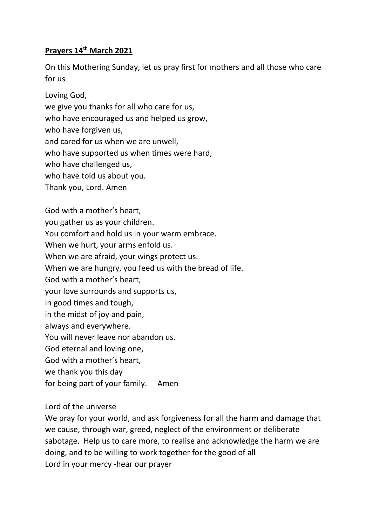## **Prayers 14th March 2021**

On this Mothering Sunday, let us pray first for mothers and all those who care for us

Loving God,

we give you thanks for all who care for us,

who have encouraged us and helped us grow,

who have forgiven us,

and cared for us when we are unwell,

who have supported us when times were hard,

who have challenged us,

who have told us about you.

Thank you, Lord. Amen

God with a mother's heart, you gather us as your children. You comfort and hold us in your warm embrace. When we hurt, your arms enfold us. When we are afraid, your wings protect us. When we are hungry, you feed us with the bread of life. God with a mother's heart, your love surrounds and supports us, in good times and tough, in the midst of joy and pain, always and everywhere. You will never leave nor abandon us. God eternal and loving one, God with a mother's heart, we thank you this day

for being part of your family. Amen

Lord of the universe

We pray for your world, and ask forgiveness for all the harm and damage that we cause, through war, greed, neglect of the environment or deliberate sabotage. Help us to care more, to realise and acknowledge the harm we are doing, and to be willing to work together for the good of all Lord in your mercy -hear our prayer